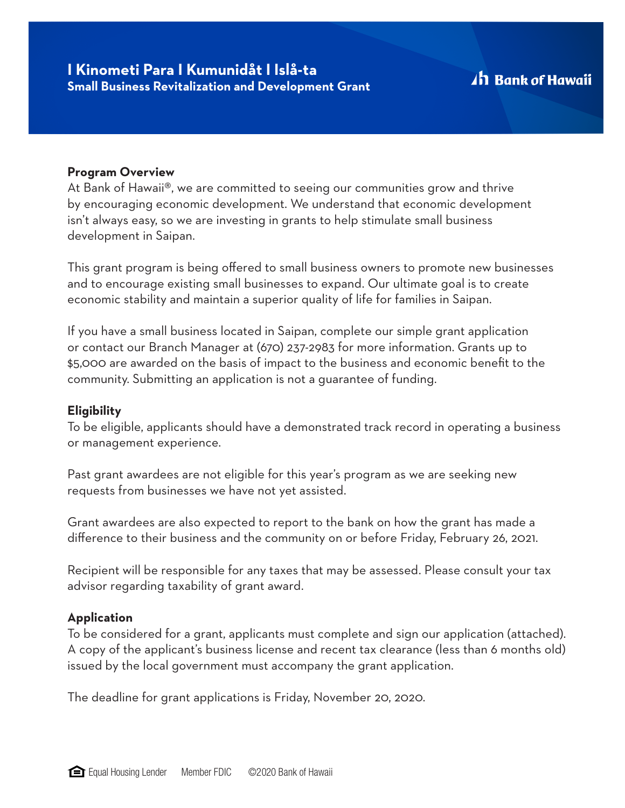### **Program Overview**

At Bank of Hawaii®, we are committed to seeing our communities grow and thrive by encouraging economic development. We understand that economic development isn't always easy, so we are investing in grants to help stimulate small business development in Saipan.

This grant program is being offered to small business owners to promote new businesses and to encourage existing small businesses to expand. Our ultimate goal is to create economic stability and maintain a superior quality of life for families in Saipan.

If you have a small business located in Saipan, complete our simple grant application or contact our Branch Manager at (670) 237-2983 for more information. Grants up to \$5,000 are awarded on the basis of impact to the business and economic benefit to the community. Submitting an application is not a guarantee of funding.

## **Eligibility**

To be eligible, applicants should have a demonstrated track record in operating a business or management experience.

Past grant awardees are not eligible for this year's program as we are seeking new requests from businesses we have not yet assisted.

Grant awardees are also expected to report to the bank on how the grant has made a difference to their business and the community on or before Friday, February 26, 2021.

Recipient will be responsible for any taxes that may be assessed. Please consult your tax advisor regarding taxability of grant award.

### **Application**

To be considered for a grant, applicants must complete and sign our application (attached). A copy of the applicant's business license and recent tax clearance (less than 6 months old) issued by the local government must accompany the grant application.

The deadline for grant applications is Friday, November 20, 2020.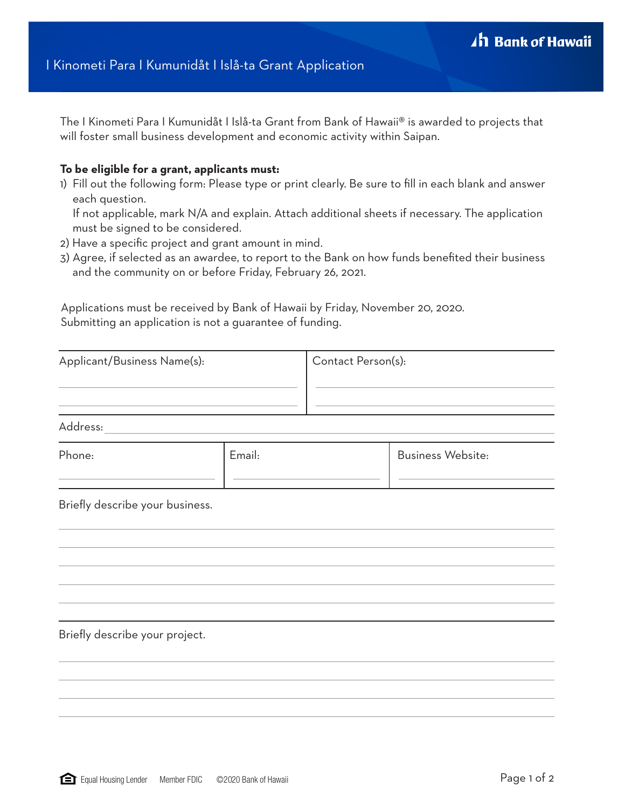The I Kinometi Para I Kumunidåt I Islå-ta Grant from Bank of Hawaii® is awarded to projects that will foster small business development and economic activity within Saipan.

#### **To be eligible for a grant, applicants must:**

1) Fill out the following form: Please type or print clearly. Be sure to fill in each blank and answer each question.

If not applicable, mark N/A and explain. Attach additional sheets if necessary. The application must be signed to be considered.

- 2) Have a specific project and grant amount in mind.
- 3) Agree, if selected as an awardee, to report to the Bank on how funds benefited their business and the community on or before Friday, February 26, 2021.

Applications must be received by Bank of Hawaii by Friday, November 20, 2020. Submitting an application is not a guarantee of funding.

| Applicant/Business Name(s):     |        | Contact Person(s): |                                                                                           |
|---------------------------------|--------|--------------------|-------------------------------------------------------------------------------------------|
| Address:                        |        |                    | the control of the control of the control of the control of the control of the control of |
| Phone:                          | Email: |                    | <b>Business Website:</b>                                                                  |
| Briefly describe your business. |        |                    |                                                                                           |
|                                 |        |                    |                                                                                           |
|                                 |        |                    |                                                                                           |

Briefly describe your project.